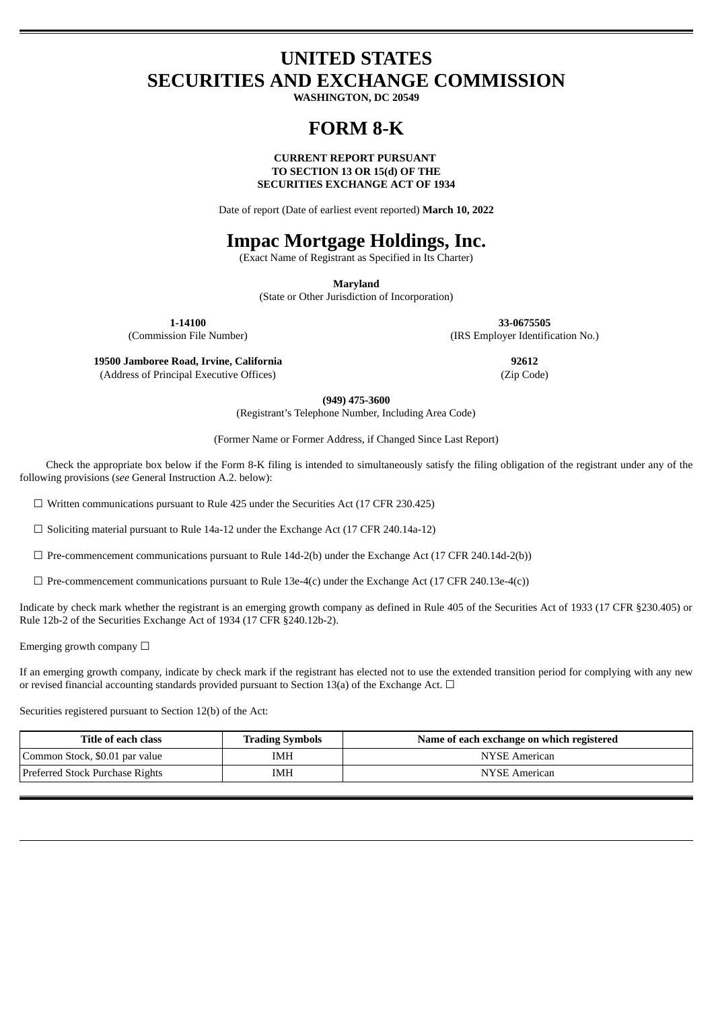# **UNITED STATES SECURITIES AND EXCHANGE COMMISSION**

**WASHINGTON, DC 20549**

## **FORM 8-K**

## **CURRENT REPORT PURSUANT TO SECTION 13 OR 15(d) OF THE SECURITIES EXCHANGE ACT OF 1934**

Date of report (Date of earliest event reported) **March 10, 2022**

# **Impac Mortgage Holdings, Inc.**

(Exact Name of Registrant as Specified in Its Charter)

**Maryland**

(State or Other Jurisdiction of Incorporation)

**1-14100 33-0675505**

(Commission File Number) (IRS Employer Identification No.)

**19500 Jamboree Road, Irvine, California 92612** (Address of Principal Executive Offices) (Zip Code)

**(949) 475-3600**

(Registrant's Telephone Number, Including Area Code)

(Former Name or Former Address, if Changed Since Last Report)

Check the appropriate box below if the Form 8-K filing is intended to simultaneously satisfy the filing obligation of the registrant under any of the following provisions (*see* General Instruction A.2. below):

☐ Written communications pursuant to Rule 425 under the Securities Act (17 CFR 230.425)

☐ Soliciting material pursuant to Rule 14a-12 under the Exchange Act (17 CFR 240.14a-12)

 $\Box$  Pre-commencement communications pursuant to Rule 14d-2(b) under the Exchange Act (17 CFR 240.14d-2(b))

 $\Box$  Pre-commencement communications pursuant to Rule 13e-4(c) under the Exchange Act (17 CFR 240.13e-4(c))

Indicate by check mark whether the registrant is an emerging growth company as defined in Rule 405 of the Securities Act of 1933 (17 CFR §230.405) or Rule 12b-2 of the Securities Exchange Act of 1934 (17 CFR §240.12b-2).

Emerging growth company  $\Box$ 

If an emerging growth company, indicate by check mark if the registrant has elected not to use the extended transition period for complying with any new or revised financial accounting standards provided pursuant to Section 13(a) of the Exchange Act.  $\Box$ 

Securities registered pursuant to Section 12(b) of the Act:

| Title of each class             | <b>Trading Symbols</b> | Name of each exchange on which registered |
|---------------------------------|------------------------|-------------------------------------------|
| Common Stock, \$0.01 par value  | IMH                    | NYSE American                             |
| Preferred Stock Purchase Rights | IMH                    | NYSE American                             |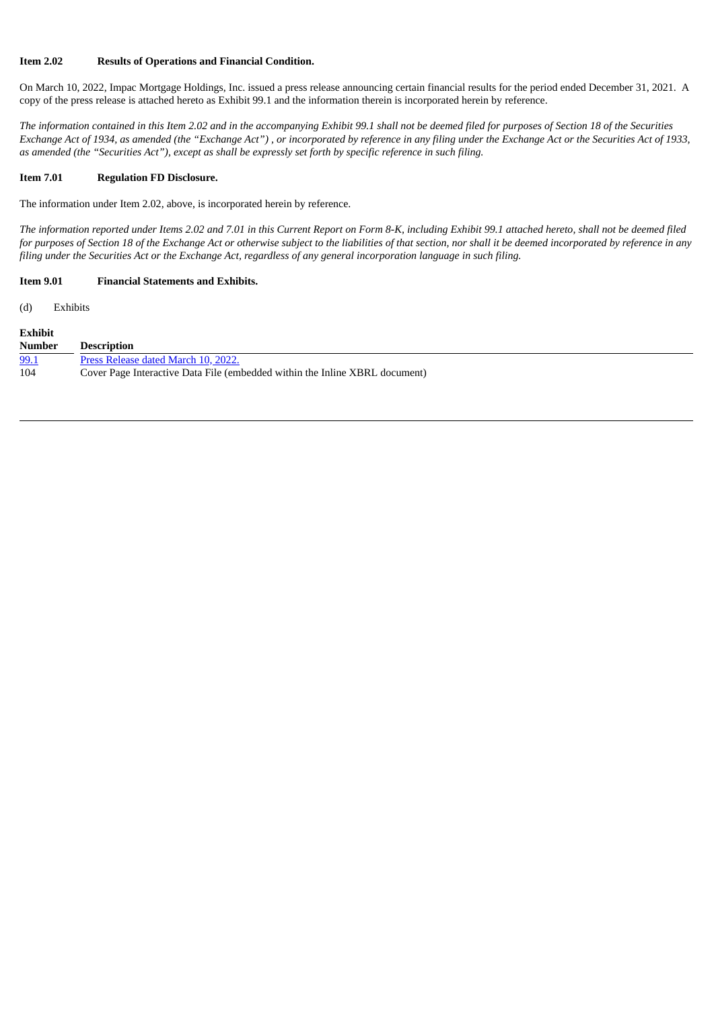## **Item 2.02 Results of Operations and Financial Condition.**

On March 10, 2022, Impac Mortgage Holdings, Inc. issued a press release announcing certain financial results for the period ended December 31, 2021. A copy of the press release is attached hereto as Exhibit 99.1 and the information therein is incorporated herein by reference.

The information contained in this Item 2.02 and in the accompanying Exhibit 99.1 shall not be deemed filed for purposes of Section 18 of the Securities Exchange Act of 1934, as amended (the "Exchange Act"), or incorporated by reference in any filing under the Exchange Act or the Securities Act of 1933, as amended (the "Securities Act"), except as shall be expressly set forth by specific reference in such filing.

#### **Item 7.01 Regulation FD Disclosure.**

The information under Item 2.02, above, is incorporated herein by reference.

The information reported under Items 2.02 and 7.01 in this Current Report on Form 8-K, including Exhibit 99.1 attached hereto, shall not be deemed filed for purposes of Section 18 of the Exchange Act or otherwise subject to the liabilities of that section, nor shall it be deemed incorporated by reference in any filing under the Securities Act or the Exchange Act, regardless of any general incorporation language in such filing.

## **Item 9.01 Financial Statements and Exhibits.**

(d) Exhibits

| <b>Exhibit</b> |                                                                             |
|----------------|-----------------------------------------------------------------------------|
| <b>Number</b>  | <b>Description</b>                                                          |
| 99.1           | Press Release dated March 10, 2022.                                         |
| 104            | Cover Page Interactive Data File (embedded within the Inline XBRL document) |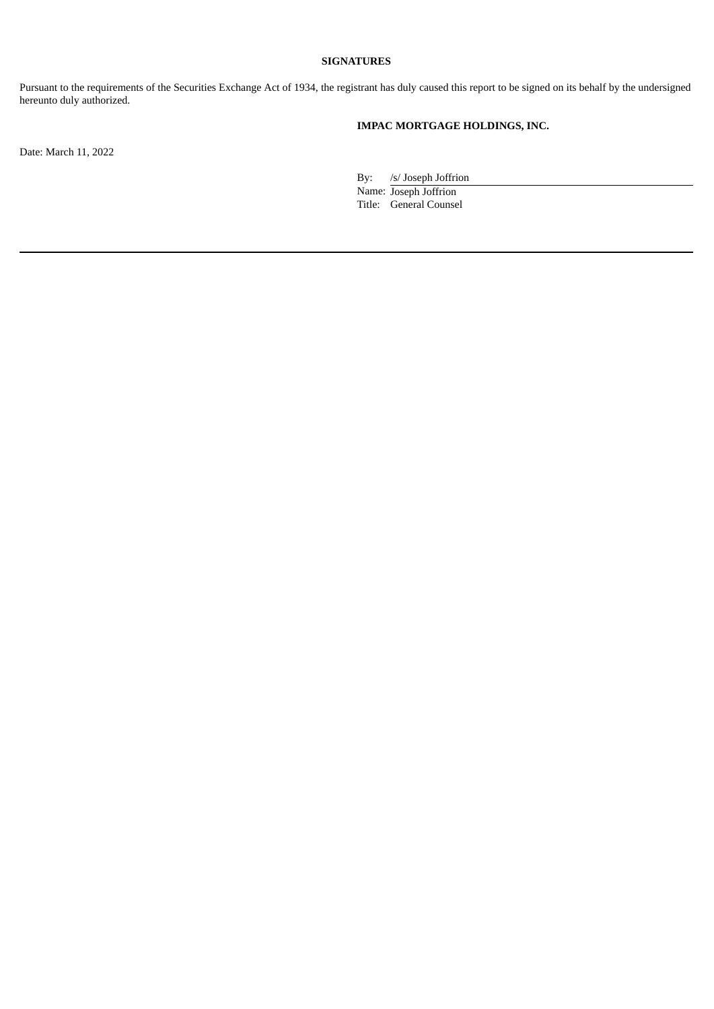## **SIGNATURES**

Pursuant to the requirements of the Securities Exchange Act of 1934, the registrant has duly caused this report to be signed on its behalf by the undersigned hereunto duly authorized.

## **IMPAC MORTGAGE HOLDINGS, INC.**

Date: March 11, 2022

By: /s/ Joseph Joffrion

Name: Joseph Joffrion Title: General Counsel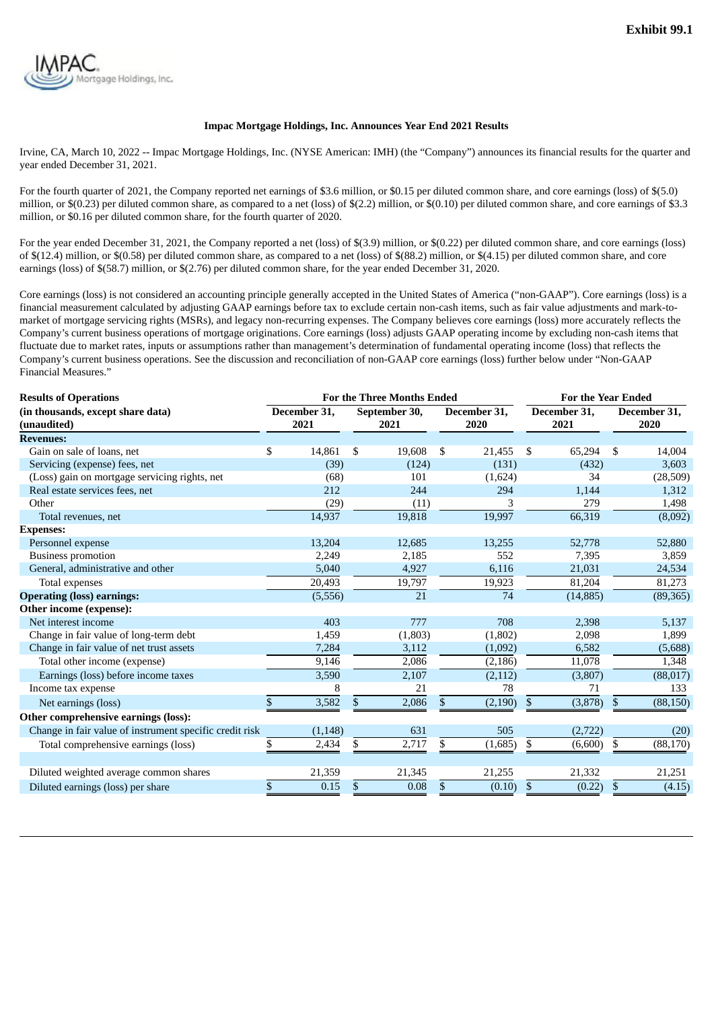<span id="page-3-0"></span>

## **Impac Mortgage Holdings, Inc. Announces Year End 2021 Results**

Irvine, CA, March 10, 2022 -- Impac Mortgage Holdings, Inc. (NYSE American: IMH) (the "Company") announces its financial results for the quarter and year ended December 31, 2021.

For the fourth quarter of 2021, the Company reported net earnings of \$3.6 million, or \$0.15 per diluted common share, and core earnings (loss) of \$(5.0) million, or \$(0.23) per diluted common share, as compared to a net (loss) of \$(2.2) million, or \$(0.10) per diluted common share, and core earnings of \$3.3 million, or \$0.16 per diluted common share, for the fourth quarter of 2020.

For the year ended December 31, 2021, the Company reported a net (loss) of \$(3.9) million, or \$(0.22) per diluted common share, and core earnings (loss) of \$(12.4) million, or \$(0.58) per diluted common share, as compared to a net (loss) of \$(88.2) million, or \$(4.15) per diluted common share, and core earnings (loss) of \$(58.7) million, or \$(2.76) per diluted common share, for the year ended December 31, 2020.

Core earnings (loss) is not considered an accounting principle generally accepted in the United States of America ("non-GAAP"). Core earnings (loss) is a financial measurement calculated by adjusting GAAP earnings before tax to exclude certain non-cash items, such as fair value adjustments and mark-tomarket of mortgage servicing rights (MSRs), and legacy non-recurring expenses. The Company believes core earnings (loss) more accurately reflects the Company's current business operations of mortgage originations. Core earnings (loss) adjusts GAAP operating income by excluding non-cash items that fluctuate due to market rates, inputs or assumptions rather than management's determination of fundamental operating income (loss) that reflects the Company's current business operations. See the discussion and reconciliation of non-GAAP core earnings (loss) further below under "Non-GAAP Financial Measures."

| <b>Results of Operations</b>                            |                      |          |    | <b>For the Three Months Ended</b> | <b>For the Year Ended</b> |                      |           |    |                      |  |  |
|---------------------------------------------------------|----------------------|----------|----|-----------------------------------|---------------------------|----------------------|-----------|----|----------------------|--|--|
| (in thousands, except share data)<br>(unaudited)        | December 31,<br>2021 |          |    | September 30,<br>2021             | December 31,<br>2020      | December 31,<br>2021 |           |    | December 31,<br>2020 |  |  |
| <b>Revenues:</b>                                        |                      |          |    |                                   |                           |                      |           |    |                      |  |  |
| Gain on sale of loans, net                              | \$                   | 14,861   | \$ | 19,608                            | \$<br>21,455              | \$                   | 65,294    | \$ | 14,004               |  |  |
| Servicing (expense) fees, net                           |                      | (39)     |    | (124)                             | (131)                     |                      | (432)     |    | 3,603                |  |  |
| (Loss) gain on mortgage servicing rights, net           |                      | (68)     |    | 101                               | (1,624)                   |                      | 34        |    | (28,509)             |  |  |
| Real estate services fees, net                          |                      | 212      |    | 244                               | 294                       |                      | 1,144     |    | 1,312                |  |  |
| Other                                                   |                      | (29)     |    | (11)                              | 3                         |                      | 279       |    | 1,498                |  |  |
| Total revenues, net                                     |                      | 14,937   |    | 19,818                            | 19,997                    |                      | 66,319    |    | (8,092)              |  |  |
| <b>Expenses:</b>                                        |                      |          |    |                                   |                           |                      |           |    |                      |  |  |
| Personnel expense                                       |                      | 13,204   |    | 12,685                            | 13,255                    |                      | 52,778    |    | 52,880               |  |  |
| <b>Business promotion</b>                               |                      | 2,249    |    | 2,185                             | 552                       |                      | 7,395     |    | 3,859                |  |  |
| General, administrative and other                       |                      | 5,040    |    | 4,927                             | 6,116                     |                      | 21,031    |    | 24,534               |  |  |
| Total expenses                                          |                      | 20,493   |    | 19,797                            | 19,923                    |                      | 81,204    |    | 81,273               |  |  |
| <b>Operating (loss) earnings:</b>                       |                      | (5, 556) |    | 21                                | 74                        |                      | (14, 885) |    | (89, 365)            |  |  |
| Other income (expense):                                 |                      |          |    |                                   |                           |                      |           |    |                      |  |  |
| Net interest income                                     |                      | 403      |    | 777                               | 708                       |                      | 2,398     |    | 5,137                |  |  |
| Change in fair value of long-term debt                  |                      | 1,459    |    | (1, 803)                          | (1,802)                   |                      | 2,098     |    | 1,899                |  |  |
| Change in fair value of net trust assets                |                      | 7,284    |    | 3,112                             | (1,092)                   |                      | 6,582     |    | (5,688)              |  |  |
| Total other income (expense)                            |                      | 9,146    |    | 2,086                             | (2, 186)                  |                      | 11,078    |    | 1,348                |  |  |
| Earnings (loss) before income taxes                     |                      | 3,590    |    | 2,107                             | (2, 112)                  |                      | (3,807)   |    | (88, 017)            |  |  |
| Income tax expense                                      |                      | 8        |    | 21                                | 78                        |                      | 71        |    | 133                  |  |  |
| Net earnings (loss)                                     | \$                   | 3,582    | \$ | 2,086                             | \$<br>(2, 190)            | \$                   | (3,878)   | \$ | (88, 150)            |  |  |
| Other comprehensive earnings (loss):                    |                      |          |    |                                   |                           |                      |           |    |                      |  |  |
| Change in fair value of instrument specific credit risk |                      | (1, 148) |    | 631                               | 505                       |                      | (2,722)   |    | (20)                 |  |  |
| Total comprehensive earnings (loss)                     | \$                   | 2,434    | \$ | 2,717                             | \$<br>(1,685)             | \$                   | (6,600)   | \$ | (88, 170)            |  |  |
| Diluted weighted average common shares                  |                      | 21,359   |    | 21,345                            | 21,255                    |                      | 21,332    |    | 21,251               |  |  |
| Diluted earnings (loss) per share                       | \$                   | 0.15     | \$ | 0.08                              | \$<br>(0.10)              | \$                   | (0.22)    | \$ | (4.15)               |  |  |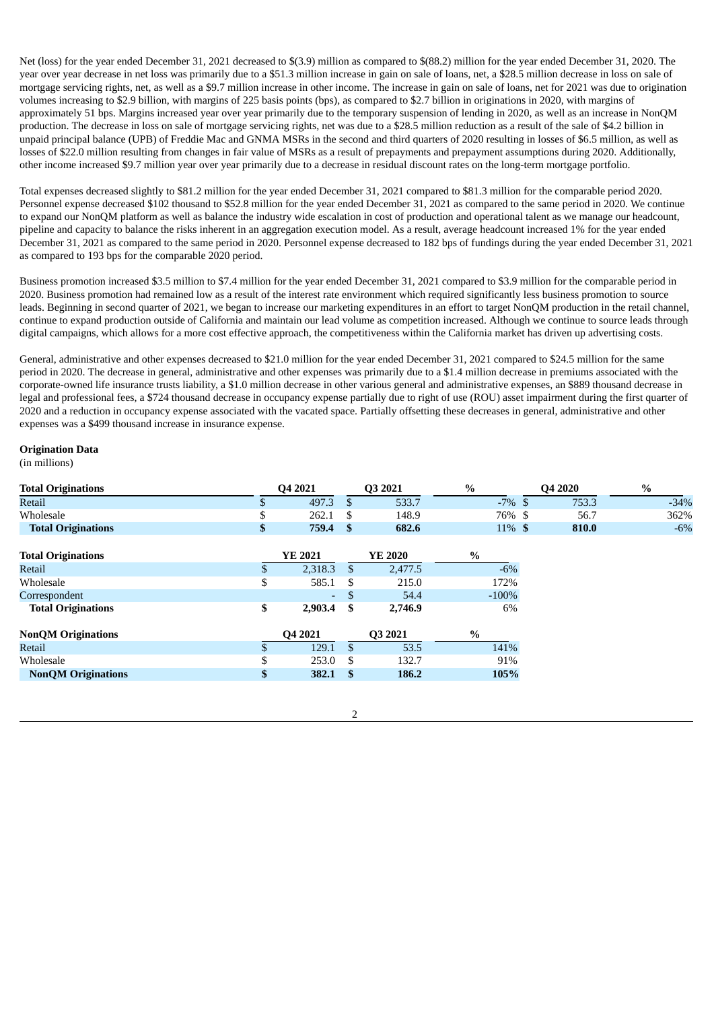Net (loss) for the year ended December 31, 2021 decreased to \$(3.9) million as compared to \$(88.2) million for the year ended December 31, 2020. The year over year decrease in net loss was primarily due to a \$51.3 million increase in gain on sale of loans, net, a \$28.5 million decrease in loss on sale of mortgage servicing rights, net, as well as a \$9.7 million increase in other income. The increase in gain on sale of loans, net for 2021 was due to origination volumes increasing to \$2.9 billion, with margins of 225 basis points (bps), as compared to \$2.7 billion in originations in 2020, with margins of approximately 51 bps. Margins increased year over year primarily due to the temporary suspension of lending in 2020, as well as an increase in NonQM production. The decrease in loss on sale of mortgage servicing rights, net was due to a \$28.5 million reduction as a result of the sale of \$4.2 billion in unpaid principal balance (UPB) of Freddie Mac and GNMA MSRs in the second and third quarters of 2020 resulting in losses of \$6.5 million, as well as losses of \$22.0 million resulting from changes in fair value of MSRs as a result of prepayments and prepayment assumptions during 2020. Additionally, other income increased \$9.7 million year over year primarily due to a decrease in residual discount rates on the long-term mortgage portfolio.

Total expenses decreased slightly to \$81.2 million for the year ended December 31, 2021 compared to \$81.3 million for the comparable period 2020. Personnel expense decreased \$102 thousand to \$52.8 million for the year ended December 31, 2021 as compared to the same period in 2020. We continue to expand our NonQM platform as well as balance the industry wide escalation in cost of production and operational talent as we manage our headcount, pipeline and capacity to balance the risks inherent in an aggregation execution model. As a result, average headcount increased 1% for the year ended December 31, 2021 as compared to the same period in 2020. Personnel expense decreased to 182 bps of fundings during the year ended December 31, 2021 as compared to 193 bps for the comparable 2020 period.

Business promotion increased \$3.5 million to \$7.4 million for the year ended December 31, 2021 compared to \$3.9 million for the comparable period in 2020. Business promotion had remained low as a result of the interest rate environment which required significantly less business promotion to source leads. Beginning in second quarter of 2021, we began to increase our marketing expenditures in an effort to target NonQM production in the retail channel, continue to expand production outside of California and maintain our lead volume as competition increased. Although we continue to source leads through digital campaigns, which allows for a more cost effective approach, the competitiveness within the California market has driven up advertising costs.

General, administrative and other expenses decreased to \$21.0 million for the year ended December 31, 2021 compared to \$24.5 million for the same period in 2020. The decrease in general, administrative and other expenses was primarily due to a \$1.4 million decrease in premiums associated with the corporate-owned life insurance trusts liability, a \$1.0 million decrease in other various general and administrative expenses, an \$889 thousand decrease in legal and professional fees, a \$724 thousand decrease in occupancy expense partially due to right of use (ROU) asset impairment during the first quarter of 2020 and a reduction in occupancy expense associated with the vacated space. Partially offsetting these decreases in general, administrative and other expenses was a \$499 thousand increase in insurance expense.

## **Origination Data**

(in millions)

| <b>Total Originations</b> |    | Q4 2021 |               | Q3 2021 | $\%$      | Q4 2020 | %      |
|---------------------------|----|---------|---------------|---------|-----------|---------|--------|
| Retail                    | \$ | 497.3   | \$.           | 533.7   | $-7\%$ \$ | 753.3   | $-34%$ |
| Wholesale                 | \$ | 262.1   | S             | 148.9   | 76% \$    | 56.7    | 362%   |
| <b>Total Originations</b> | \$ | 759.4   | \$            | 682.6   | $11\%$ \$ | 810.0   | $-6%$  |
| <b>Total Originations</b> |    | YE 2021 |               | YE 2020 | $\%$      |         |        |
| Retail                    |    | 2,318.3 | <sup>\$</sup> | 2,477.5 | $-6\%$    |         |        |
| Wholesale                 | \$ | 585.1   | <b>S</b>      | 215.0   | 172%      |         |        |
| Correspondent             |    | ۰.      | <sup>\$</sup> | 54.4    | $-100%$   |         |        |
| <b>Total Originations</b> | \$ | 2,903.4 | - \$          | 2,746.9 | 6%        |         |        |
| <b>NonQM Originations</b> |    | Q4 2021 |               | Q3 2021 | %         |         |        |
| Retail                    |    | 129.1   | \$.           | 53.5    | 141%      |         |        |
| Wholesale                 | ¢  | 253.0   | - \$          | 132.7   | 91%       |         |        |
| <b>NonQM Originations</b> | ъ  | 382.1   | 186.2<br>- \$ |         | 105%      |         |        |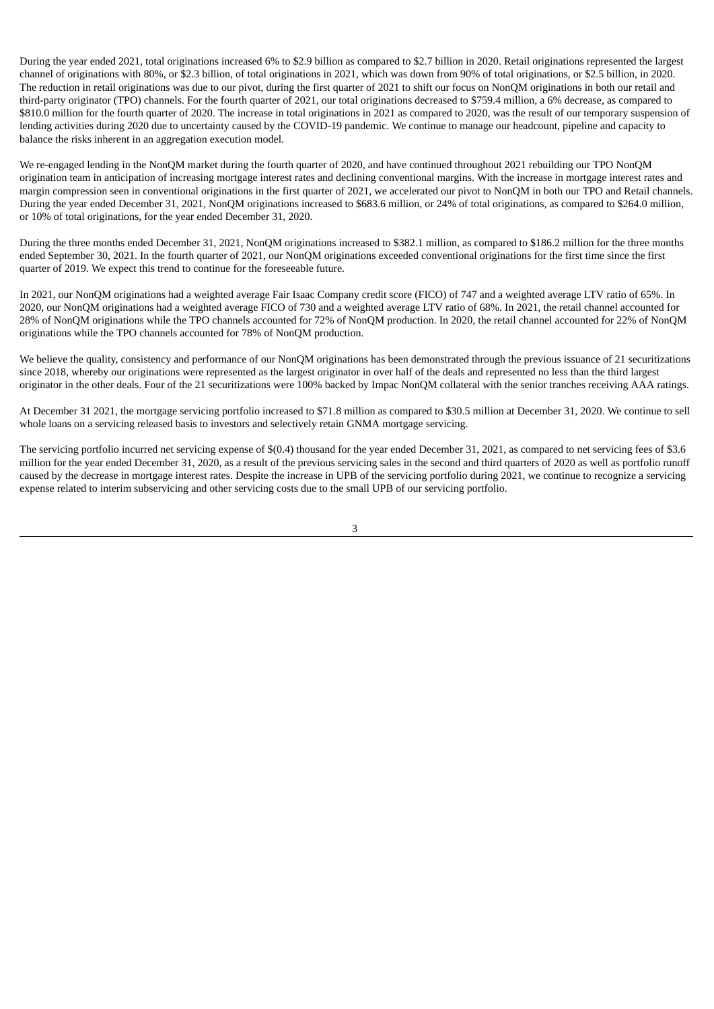During the year ended 2021, total originations increased 6% to \$2.9 billion as compared to \$2.7 billion in 2020. Retail originations represented the largest channel of originations with 80%, or \$2.3 billion, of total originations in 2021, which was down from 90% of total originations, or \$2.5 billion, in 2020. The reduction in retail originations was due to our pivot, during the first quarter of 2021 to shift our focus on NonQM originations in both our retail and third-party originator (TPO) channels. For the fourth quarter of 2021, our total originations decreased to \$759.4 million, a 6% decrease, as compared to \$810.0 million for the fourth quarter of 2020. The increase in total originations in 2021 as compared to 2020, was the result of our temporary suspension of lending activities during 2020 due to uncertainty caused by the COVID-19 pandemic. We continue to manage our headcount, pipeline and capacity to balance the risks inherent in an aggregation execution model.

We re-engaged lending in the NonQM market during the fourth quarter of 2020, and have continued throughout 2021 rebuilding our TPO NonQM origination team in anticipation of increasing mortgage interest rates and declining conventional margins. With the increase in mortgage interest rates and margin compression seen in conventional originations in the first quarter of 2021, we accelerated our pivot to NonQM in both our TPO and Retail channels. During the year ended December 31, 2021, NonQM originations increased to \$683.6 million, or 24% of total originations, as compared to \$264.0 million, or 10% of total originations, for the year ended December 31, 2020.

During the three months ended December 31, 2021, NonQM originations increased to \$382.1 million, as compared to \$186.2 million for the three months ended September 30, 2021. In the fourth quarter of 2021, our NonQM originations exceeded conventional originations for the first time since the first quarter of 2019. We expect this trend to continue for the foreseeable future.

In 2021, our NonQM originations had a weighted average Fair Isaac Company credit score (FICO) of 747 and a weighted average LTV ratio of 65%. In 2020, our NonQM originations had a weighted average FICO of 730 and a weighted average LTV ratio of 68%. In 2021, the retail channel accounted for 28% of NonQM originations while the TPO channels accounted for 72% of NonQM production. In 2020, the retail channel accounted for 22% of NonQM originations while the TPO channels accounted for 78% of NonQM production.

We believe the quality, consistency and performance of our NonQM originations has been demonstrated through the previous issuance of 21 securitizations since 2018, whereby our originations were represented as the largest originator in over half of the deals and represented no less than the third largest originator in the other deals. Four of the 21 securitizations were 100% backed by Impac NonQM collateral with the senior tranches receiving AAA ratings.

At December 31 2021, the mortgage servicing portfolio increased to \$71.8 million as compared to \$30.5 million at December 31, 2020. We continue to sell whole loans on a servicing released basis to investors and selectively retain GNMA mortgage servicing.

The servicing portfolio incurred net servicing expense of \$(0.4) thousand for the year ended December 31, 2021, as compared to net servicing fees of \$3.6 million for the year ended December 31, 2020, as a result of the previous servicing sales in the second and third quarters of 2020 as well as portfolio runoff caused by the decrease in mortgage interest rates. Despite the increase in UPB of the servicing portfolio during 2021, we continue to recognize a servicing expense related to interim subservicing and other servicing costs due to the small UPB of our servicing portfolio.

3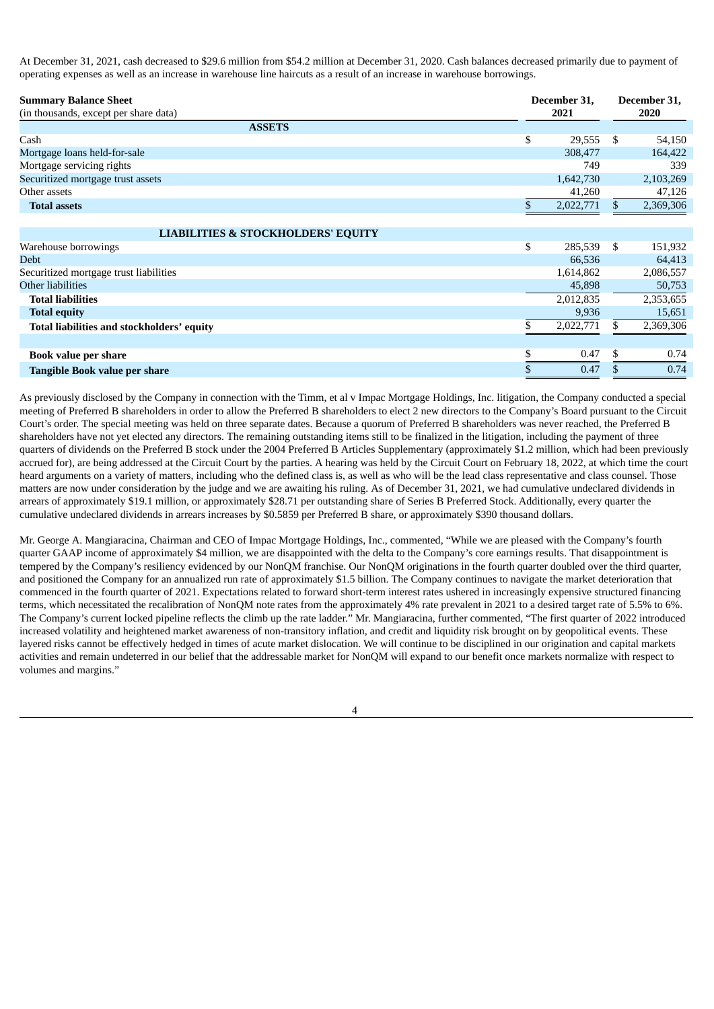At December 31, 2021, cash decreased to \$29.6 million from \$54.2 million at December 31, 2020. Cash balances decreased primarily due to payment of operating expenses as well as an increase in warehouse line haircuts as a result of an increase in warehouse borrowings.

| <b>Summary Balance Sheet</b>                  |    | December 31, |     | December 31, |  |
|-----------------------------------------------|----|--------------|-----|--------------|--|
| (in thousands, except per share data)         |    | 2021         |     | 2020         |  |
| <b>ASSETS</b>                                 |    |              |     |              |  |
| Cash                                          | \$ | 29,555       | -S  | 54,150       |  |
| Mortgage loans held-for-sale                  |    | 308,477      |     | 164,422      |  |
| Mortgage servicing rights                     |    | 749          |     | 339          |  |
| Securitized mortgage trust assets             |    | 1,642,730    |     | 2,103,269    |  |
| Other assets                                  |    | 41,260       |     | 47,126       |  |
| <b>Total assets</b>                           | \$ | 2,022,771    | \$  | 2,369,306    |  |
|                                               |    |              |     |              |  |
| <b>LIABILITIES &amp; STOCKHOLDERS' EQUITY</b> |    |              |     |              |  |
| Warehouse borrowings                          | \$ | 285,539      | \$  | 151,932      |  |
| <b>Debt</b>                                   |    | 66,536       |     | 64,413       |  |
| Securitized mortgage trust liabilities        |    | 1,614,862    |     | 2,086,557    |  |
| Other liabilities                             |    | 45,898       |     | 50,753       |  |
| <b>Total liabilities</b>                      |    | 2,012,835    |     | 2,353,655    |  |
| <b>Total equity</b>                           |    | 9,936        |     | 15,651       |  |
| Total liabilities and stockholders' equity    | \$ | 2,022,771    | \$. | 2,369,306    |  |
|                                               |    |              |     |              |  |
| <b>Book value per share</b>                   | \$ | 0.47         | \$  | 0.74         |  |

As previously disclosed by the Company in connection with the Timm, et al v Impac Mortgage Holdings, Inc. litigation, the Company conducted a special meeting of Preferred B shareholders in order to allow the Preferred B shareholders to elect 2 new directors to the Company's Board pursuant to the Circuit Court's order. The special meeting was held on three separate dates. Because a quorum of Preferred B shareholders was never reached, the Preferred B shareholders have not yet elected any directors. The remaining outstanding items still to be finalized in the litigation, including the payment of three quarters of dividends on the Preferred B stock under the 2004 Preferred B Articles Supplementary (approximately \$1.2 million, which had been previously accrued for), are being addressed at the Circuit Court by the parties. A hearing was held by the Circuit Court on February 18, 2022, at which time the court heard arguments on a variety of matters, including who the defined class is, as well as who will be the lead class representative and class counsel. Those matters are now under consideration by the judge and we are awaiting his ruling. As of December 31, 2021, we had cumulative undeclared dividends in arrears of approximately \$19.1 million, or approximately \$28.71 per outstanding share of Series B Preferred Stock. Additionally, every quarter the cumulative undeclared dividends in arrears increases by \$0.5859 per Preferred B share, or approximately \$390 thousand dollars.

**Tangible Book value per share** \$ 0.47 \$ 0.74

Mr. George A. Mangiaracina, Chairman and CEO of Impac Mortgage Holdings, Inc., commented, "While we are pleased with the Company's fourth quarter GAAP income of approximately \$4 million, we are disappointed with the delta to the Company's core earnings results. That disappointment is tempered by the Company's resiliency evidenced by our NonQM franchise. Our NonQM originations in the fourth quarter doubled over the third quarter, and positioned the Company for an annualized run rate of approximately \$1.5 billion. The Company continues to navigate the market deterioration that commenced in the fourth quarter of 2021. Expectations related to forward short-term interest rates ushered in increasingly expensive structured financing terms, which necessitated the recalibration of NonQM note rates from the approximately 4% rate prevalent in 2021 to a desired target rate of 5.5% to 6%. The Company's current locked pipeline reflects the climb up the rate ladder." Mr. Mangiaracina, further commented, "The first quarter of 2022 introduced increased volatility and heightened market awareness of non-transitory inflation, and credit and liquidity risk brought on by geopolitical events. These layered risks cannot be effectively hedged in times of acute market dislocation. We will continue to be disciplined in our origination and capital markets activities and remain undeterred in our belief that the addressable market for NonQM will expand to our benefit once markets normalize with respect to volumes and margins."

 $\overline{A}$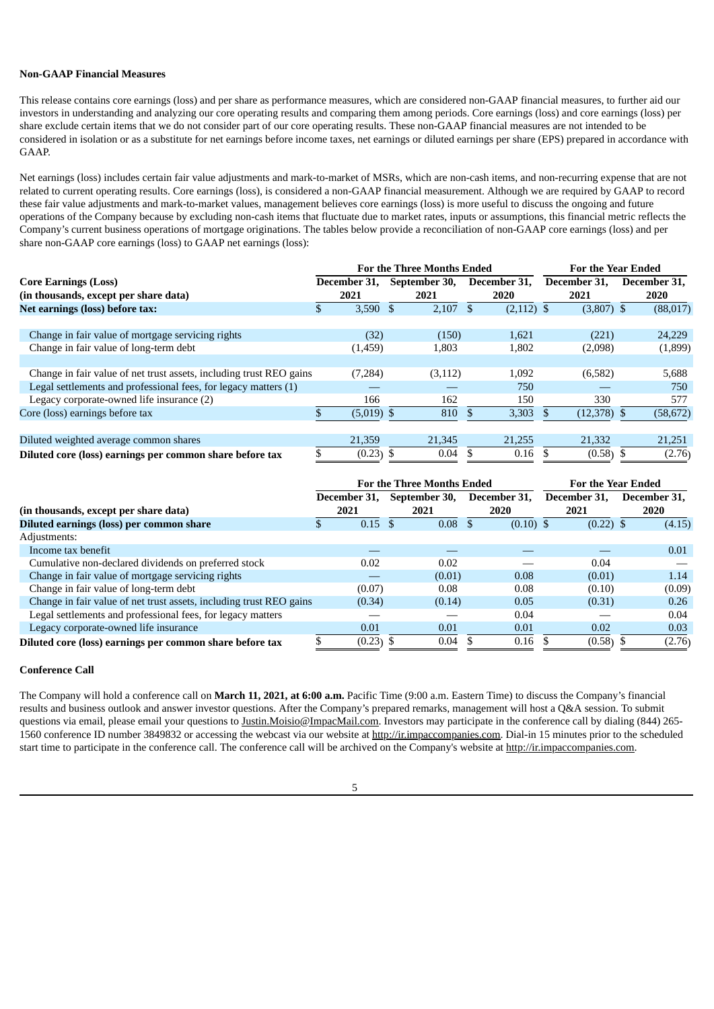## **Non-GAAP Financial Measures**

This release contains core earnings (loss) and per share as performance measures, which are considered non-GAAP financial measures, to further aid our investors in understanding and analyzing our core operating results and comparing them among periods. Core earnings (loss) and core earnings (loss) per share exclude certain items that we do not consider part of our core operating results. These non-GAAP financial measures are not intended to be considered in isolation or as a substitute for net earnings before income taxes, net earnings or diluted earnings per share (EPS) prepared in accordance with GAAP.

Net earnings (loss) includes certain fair value adjustments and mark-to-market of MSRs, which are non-cash items, and non-recurring expense that are not related to current operating results. Core earnings (loss), is considered a non-GAAP financial measurement. Although we are required by GAAP to record these fair value adjustments and mark-to-market values, management believes core earnings (loss) is more useful to discuss the ongoing and future operations of the Company because by excluding non-cash items that fluctuate due to market rates, inputs or assumptions, this financial metric reflects the Company's current business operations of mortgage originations. The tables below provide a reconciliation of non-GAAP core earnings (loss) and per share non-GAAP core earnings (loss) to GAAP net earnings (loss):

|                                                                     |  |              |      | <b>For the Three Months Ended</b> | <b>For the Year Ended</b> |              |              |               |              |           |
|---------------------------------------------------------------------|--|--------------|------|-----------------------------------|---------------------------|--------------|--------------|---------------|--------------|-----------|
| <b>Core Earnings (Loss)</b>                                         |  | December 31, |      | September 30,                     | December 31,              |              | December 31, |               | December 31. |           |
| (in thousands, except per share data)                               |  | 2021         | 2021 |                                   | 2020                      |              | 2021         |               | 2020         |           |
| Net earnings (loss) before tax:                                     |  | $3,590$ \$   |      | 2,107                             |                           | $(2,112)$ \$ |              | $(3,807)$ \$  |              | (88,017)  |
|                                                                     |  |              |      |                                   |                           |              |              |               |              |           |
| Change in fair value of mortgage servicing rights                   |  | (32)         |      | (150)                             |                           | 1,621        |              | (221)         |              | 24,229    |
| Change in fair value of long-term debt                              |  | (1,459)      |      | 1,803                             |                           | 1,802        |              | (2,098)       |              | (1,899)   |
|                                                                     |  |              |      |                                   |                           |              |              |               |              |           |
| Change in fair value of net trust assets, including trust REO gains |  | (7,284)      |      | (3, 112)                          |                           | 1,092        |              | (6,582)       |              | 5,688     |
| Legal settlements and professional fees, for legacy matters (1)     |  |              |      |                                   |                           | 750          |              |               |              | 750       |
| Legacy corporate-owned life insurance (2)                           |  | 166          |      | 162                               |                           | 150          |              | 330           |              | 577       |
| Core (loss) earnings before tax                                     |  | $(5,019)$ \$ |      | 810                               |                           | 3,303        |              | $(12,378)$ \$ |              | (58, 672) |
|                                                                     |  |              |      |                                   |                           |              |              |               |              |           |
| Diluted weighted average common shares                              |  | 21,359       |      | 21,345                            |                           | 21,255       |              | 21,332        |              | 21,251    |
| Diluted core (loss) earnings per common share before tax            |  | $(0.23)$ \$  |      | 0.04                              |                           | 0.16         |              | $(0.58)$ \$   |              | (2.76)    |

|                                                                     |  |              | <b>For the Three Months Ended</b> | For the Year Ended |             |  |              |  |              |
|---------------------------------------------------------------------|--|--------------|-----------------------------------|--------------------|-------------|--|--------------|--|--------------|
|                                                                     |  | December 31. | September 30,                     | December 31.       |             |  | December 31. |  | December 31. |
| (in thousands, except per share data)                               |  | 2021         | 2021                              |                    | 2020        |  | 2021         |  | <b>2020</b>  |
| Diluted earnings (loss) per common share                            |  | 0.15         | 0.08                              |                    | $(0.10)$ \$ |  | $(0.22)$ \$  |  | (4.15)       |
| Adjustments:                                                        |  |              |                                   |                    |             |  |              |  |              |
| Income tax benefit                                                  |  |              |                                   |                    |             |  |              |  | 0.01         |
| Cumulative non-declared dividends on preferred stock                |  | 0.02         | 0.02                              |                    |             |  | 0.04         |  |              |
| Change in fair value of mortgage servicing rights                   |  | __           | (0.01)                            |                    | 0.08        |  | (0.01)       |  | 1.14         |
| Change in fair value of long-term debt                              |  | (0.07)       | 0.08                              |                    | 0.08        |  | (0.10)       |  | (0.09)       |
| Change in fair value of net trust assets, including trust REO gains |  | (0.34)       | (0.14)                            |                    | 0.05        |  | (0.31)       |  | 0.26         |
| Legal settlements and professional fees, for legacy matters         |  |              |                                   |                    | 0.04        |  |              |  | 0.04         |
| Legacy corporate-owned life insurance                               |  | 0.01         | 0.01                              |                    | 0.01        |  | 0.02         |  | 0.03         |
| Diluted core (loss) earnings per common share before tax            |  | $(0.23)$ \$  | 0.04                              |                    | 0.16        |  | (0.58)       |  | (2.76)       |

## **Conference Call**

The Company will hold a conference call on **March 11, 2021, at 6:00 a.m.** Pacific Time (9:00 a.m. Eastern Time) to discuss the Company's financial results and business outlook and answer investor questions. After the Company's prepared remarks, management will host a Q&A session. To submit questions via email, please email your questions to Justin.Moisio@ImpacMail.com. Investors may participate in the conference call by dialing (844) 265-1560 conference ID number 3849832 or accessing the webcast via our website at http://ir.impaccompanies.com. Dial-in 15 minutes prior to the scheduled start time to participate in the conference call. The conference call will be archived on the Company's website at http://ir.impaccompanies.com.